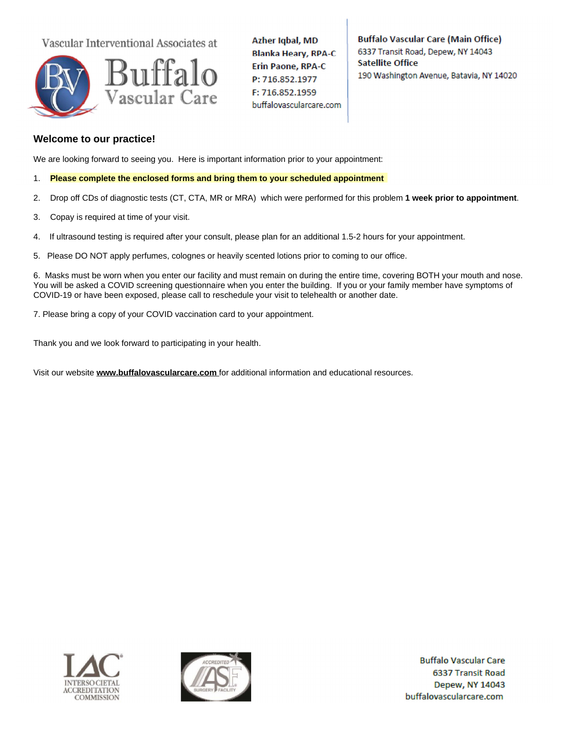Vascular Interventional Associates at



Azher Iqbal, MD **Blanka Heary, RPA-C Erin Paone, RPA-C** P: 716.852.1977 F: 716.852.1959 buffalovascularcare.com **Buffalo Vascular Care (Main Office)** 6337 Transit Road, Depew, NY 14043 **Satellite Office** 190 Washington Avenue, Batavia, NY 14020

# **Welcome to our practice!**

We are looking forward to seeing you. Here is important information prior to your appointment:

- 1. **Please complete the enclosed forms and bring them to your scheduled appointment**
- 2. Drop off CDs of diagnostic tests (CT, CTA, MR or MRA) which were performed for this problem **1 week prior to appointment**.
- 3. Copay is required at time of your visit.
- 4. If ultrasound testing is required after your consult, please plan for an additional 1.5-2 hours for your appointment.
- 5. Please DO NOT apply perfumes, colognes or heavily scented lotions prior to coming to our office.

6. Masks must be worn when you enter our facility and must remain on during the entire time, covering BOTH your mouth and nose. You will be asked a COVID screening questionnaire when you enter the building. If you or your family member have symptoms of COVID-19 or have been exposed, please call to reschedule your visit to telehealth or another date.

7. Please bring a copy of your COVID vaccination card to your appointment.

Thank you and we look forward to participating in your health.

Visit our website **www.buffalovascularcare.com** for additional information and educational resources.





**Buffalo Vascular Care** 6337 Transit Road Depew, NY 14043 buffalovascularcare.com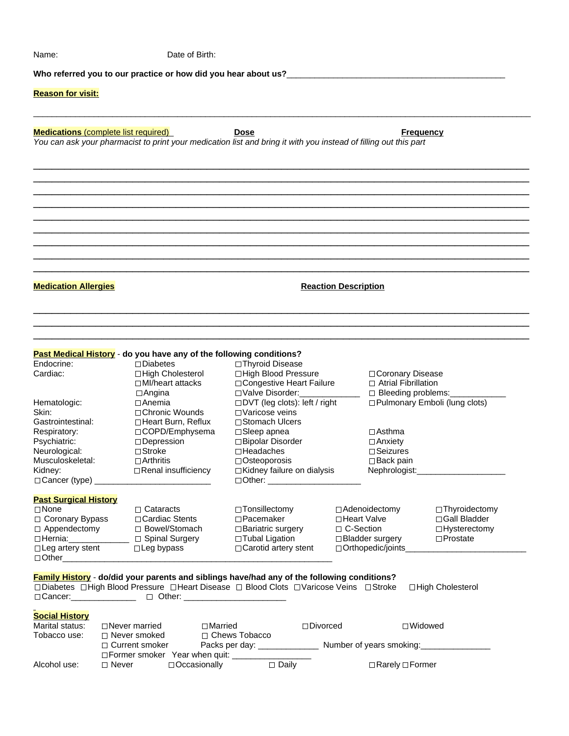| <b>Reason for visit:</b>                                                                                                                                                                       |  |                                                                                                                                                           |                |                                                                                                                                                                                                                          |                            |                                                                                                                      |                                                                          |                                                                      |
|------------------------------------------------------------------------------------------------------------------------------------------------------------------------------------------------|--|-----------------------------------------------------------------------------------------------------------------------------------------------------------|----------------|--------------------------------------------------------------------------------------------------------------------------------------------------------------------------------------------------------------------------|----------------------------|----------------------------------------------------------------------------------------------------------------------|--------------------------------------------------------------------------|----------------------------------------------------------------------|
| <b>Medications</b> (complete list required)<br>You can ask your pharmacist to print your medication list and bring it with you instead of filling out this part                                |  |                                                                                                                                                           |                | <b>Dose</b>                                                                                                                                                                                                              |                            |                                                                                                                      |                                                                          | <b>Frequency</b>                                                     |
|                                                                                                                                                                                                |  |                                                                                                                                                           |                |                                                                                                                                                                                                                          |                            |                                                                                                                      |                                                                          |                                                                      |
| <b>Medication Allergies</b>                                                                                                                                                                    |  |                                                                                                                                                           |                |                                                                                                                                                                                                                          |                            | <b>Reaction Description</b>                                                                                          |                                                                          |                                                                      |
| Past Medical History - do you have any of the following conditions?<br>Endocrine:<br>Cardiac:                                                                                                  |  | $\Box$ Diabetes<br>□High Cholesterol<br>$\Box$ MI/heart attacks<br>$\Box$ Angina                                                                          |                | □ Thyroid Disease<br>□High Blood Pressure<br>□ Valve Disorder:                                                                                                                                                           | □ Congestive Heart Failure |                                                                                                                      | □ Coronary Disease<br>$\Box$ Atrial Fibrillation<br>□ Bleeding problems: |                                                                      |
| Hematologic:<br>Skin:<br>Gastrointestinal:<br>Respiratory:<br>Psychiatric:<br>Neurological:<br>Musculoskeletal:<br>Kidney:<br>□ Cancer (type) _                                                |  | ⊟Anemia<br>□ Chronic Wounds<br>□ Heart Burn, Reflux<br>□COPD/Emphysema<br>□ Depression<br>$\Box$ Stroke<br>$\Box$ Arthritis<br>$\Box$ Renal insufficiency |                | □DVT (leg clots): left / right<br>□ Varicose veins<br>□ Stomach Ulcers<br>$\Box$ Sleep apnea<br>□ Bipolar Disorder<br>$\square$ Headaches<br>$\Box$ Osteoporosis<br>□ Kidney failure on dialysis<br>$\Box$ Other: $\_\_$ |                            | □ Pulmonary Emboli (lung clots)<br>⊟Asthma<br>$\Box$ Anxiety<br>$\Box$ Seizures<br>$\Box$ Back pain<br>Nephrologist: |                                                                          |                                                                      |
| <b>Past Surgical History</b><br>$\square$ None<br>□ Coronary Bypass<br>$\Box$ Appendectomy<br>□Hernia: <u>________</u> __<br>$\Box$ Leg artery stent                                           |  | $\Box$ Cataracts<br>□ Cardiac Stents<br>□ Bowel/Stomach<br>□ Spinal Surgery<br>$\Box$ Leg bypass                                                          |                | □ Tonsillectomy<br>$\Box$ Pacemaker<br>$\Box$ Bariatric surgery<br>□ Tubal Ligation<br>□ Carotid artery stent                                                                                                            |                            | □ Heart Valve<br>□ C-Section                                                                                         | □ Adenoidectomy<br>□ Bladder surgery<br>□ Orthopedic/joints_             | □Thyroidectomy<br>□ Gall Bladder<br>□Hysterectomy<br>$\Box$ Prostate |
| <b>Family History</b> - do/did your parents and siblings have/had any of the following conditions?<br>□ Diabetes □ High Blood Pressure □ Heart Disease □ Blood Clots □ Varicose Veins □ Stroke |  |                                                                                                                                                           |                |                                                                                                                                                                                                                          |                            |                                                                                                                      |                                                                          | □ High Cholesterol                                                   |
| <b>Social History</b><br>Marital status:<br>Tobacco use:                                                                                                                                       |  | $\Box$ Never married<br>$\Box$ Never smoked                                                                                                               | $\Box$ Married | □ Chews Tobacco                                                                                                                                                                                                          | $\Box$ Divorced            |                                                                                                                      |                                                                          | $\Box$ Widowed                                                       |

Name: Date of Birth:

|              | $\Box$ Current smoker                | Packs per day:      |              | Number of years smoking:    |  |
|--------------|--------------------------------------|---------------------|--------------|-----------------------------|--|
|              | $\Box$ Former smoker Year when quit: |                     |              |                             |  |
| Alcohol use: | □ Never                              | $\Box$ Occasionally | $\neg$ Daily | $\Box$ Rarely $\Box$ Former |  |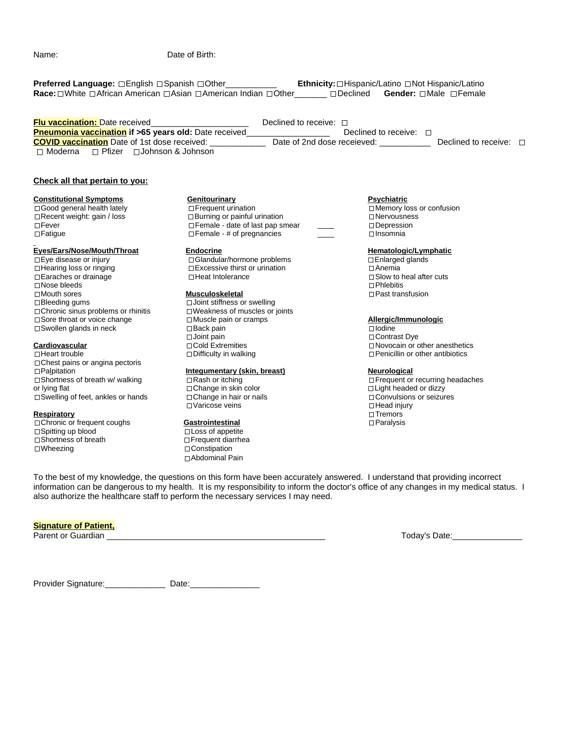Name: Date of Birth:

| Preferred Language: □English □Spanish □Other___________                                                                                                                                                                                     | Race: □ White □ African American □ Asian □ American Indian □ Other □ □ □ Declined                                                                                                                                                                                                                                                                            | Ethnicity: □ Hispanic/Latino □ Not Hispanic/Latino<br>Gender: □Male □Female                                                                  |
|---------------------------------------------------------------------------------------------------------------------------------------------------------------------------------------------------------------------------------------------|--------------------------------------------------------------------------------------------------------------------------------------------------------------------------------------------------------------------------------------------------------------------------------------------------------------------------------------------------------------|----------------------------------------------------------------------------------------------------------------------------------------------|
| $\Box$ Moderna $\Box$ Pfizer $\Box$ Johnson & Johnson                                                                                                                                                                                       | Declined to receive: $\Box$<br><b>COVID vaccination</b> Date of 1st dose received: ______________ Date of 2nd dose receieved: ___________                                                                                                                                                                                                                    | Declined to receive: $\square$<br>Declined to receive: $\square$                                                                             |
| Check all that pertain to you:                                                                                                                                                                                                              |                                                                                                                                                                                                                                                                                                                                                              |                                                                                                                                              |
| <b>Constitutional Symptoms</b><br>□ Good general health lately<br>□ Recent weight: gain / loss<br>$\Box$ Fever<br>$\Box$ Fatigue                                                                                                            | <b>Genitourinary</b><br>□ Frequent urination<br>$\Box$ Burning or painful urination<br>Female - date of last pap smear<br>$\Box$ Female - # of pregnancies                                                                                                                                                                                                   | <b>Psychiatric</b><br>□ Memory loss or confusion<br>$\Box$ Nervousness<br>$\Box$ Depression<br>$\Box$ Insomnia                               |
| Eyes/Ears/Nose/Mouth/Throat<br>□ Eye disease or injury<br>$\Box$ Hearing loss or ringing<br>$\Box$ Earaches or drainage<br>$\square$ Nose bleeds<br>$\Box$ Mouth sores<br>$\Box$ Bleeding gums<br>$\Box$ Chronic sinus problems or rhinitis | <b>Endocrine</b><br>□ Glandular/hormone problems<br>□ Excessive thirst or urination<br>□ Heat Intolerance<br><b>Musculoskeletal</b><br>□ Joint stiffness or swelling<br>$\Box$ Weakness of muscles or joints                                                                                                                                                 | Hematologic/Lymphatic<br>□ Enlarged glands<br>$\Box$ Anemia<br>$\Box$ Slow to heal after cuts<br>$\Box$ Phlebitis<br>$\Box$ Past transfusion |
| Sore throat or voice change<br>$\Box$ Swollen glands in neck                                                                                                                                                                                | $\Box$ Muscle pain or cramps<br>$\Box$ Back pain<br>$\Box$ Joint pain                                                                                                                                                                                                                                                                                        | Allergic/Immunologic<br>$\Box$ lodine<br>□ Contrast Dye                                                                                      |
| Cardiovascular<br>$\Box$ Heart trouble<br>$\Box$ Chest pains or angina pectoris                                                                                                                                                             | □ Cold Extremities<br>$\Box$ Difficulty in walking                                                                                                                                                                                                                                                                                                           | $\Box$ Novocain or other anesthetics<br>$\Box$ Penicillin or other antibiotics                                                               |
| $\Box$ Palpitation<br>Shortness of breath w/ walking<br>or lying flat<br>$\Box$ Swelling of feet, ankles or hands                                                                                                                           | Integumentary (skin, breast)<br>$\Box$ Rash or itching<br>□ Change in skin color<br>$\Box$ Change in hair or nails<br>□ Varicose veins                                                                                                                                                                                                                       | Neurological<br>□ Frequent or recurring headaches<br>$\Box$ Light headed or dizzy<br>□ Convulsions or seizures<br>$\Box$ Head injury         |
| Respiratory<br>Chronic or frequent coughs<br>$\Box$ Spitting up blood<br>□ Shortness of breath<br>$\square$ Wheezing                                                                                                                        | <b>Gastrointestinal</b><br>$\Box$ Loss of appetite<br>$\Box$ Frequent diarrhea<br>$\Box$ Constipation<br>□ Abdominal Pain                                                                                                                                                                                                                                    | $\Box$ Tremors<br>$\Box$ Paralysis                                                                                                           |
|                                                                                                                                                                                                                                             | To the best of my knowledge, the questions on this form have been accurately answered. I understand that providing incorrect<br>information can be dangerous to my health. It is my responsibility to inform the doctor's office of any changes in my medical status. I<br>also authorize the healthcare staff to perform the necessary services I may need. |                                                                                                                                              |
| <b>Signature of Patient,</b><br>Parent or Guardian                                                                                                                                                                                          |                                                                                                                                                                                                                                                                                                                                                              | Today's Date:                                                                                                                                |

Provider Signature:\_\_\_\_\_\_\_\_\_\_\_\_\_ Date:\_\_\_\_\_\_\_\_\_\_\_\_\_\_\_